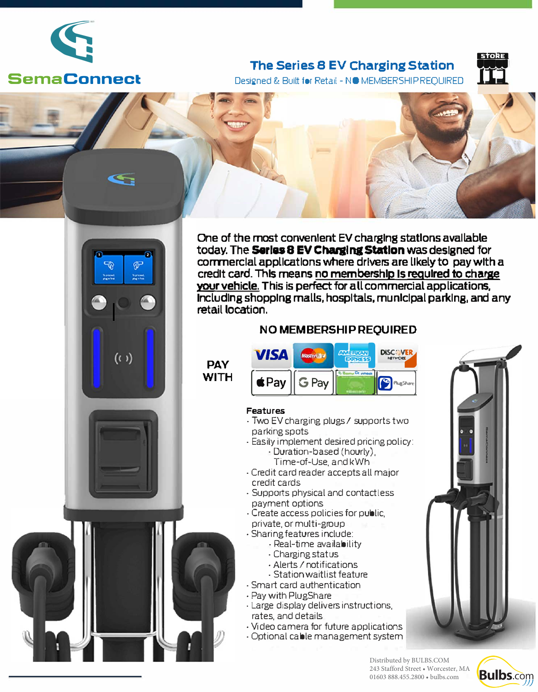

# **Serna Connect**

## **The Series 8 EV Charging Station**



Designed & Built for Retail - NO MEMBERSHIP REQUIRED





**One of the most convenient EV charging stations available today. The Series 8 EV Charging Station was designed for commercial applications where drivers are likely to pay with a credit card. This means no membership Is required to charge vour vehicle. This is perfect for all commercial applications, Including shopping malls, hospitals, municipal parking, and any retail location.** 

### **NO MEMBERSHIP REQUIRED**



#### **Features**

- Two EV charging plugs/ supports two parking spots
- Easily implement desired pricing policy: • Dura tion-based (hourly),
	- Time-of-Use. and kWh
- Credit card reader accepts all major credit cards
- Supports physical and contactless payment options
- Create access policies for public, private, or multi-group
- Sharing features include:
	- Real-time availability
		- Charging status
		- •Alerts/ notifications
		- Station waitlist feature
- Smart card authentication
- Pay with PlugShare
- Large display delivers instructions, rates, and details
- Video camera for future applications
- Optional cable management system



**Bulbs.com** 

Distributed by BULBS.COM 243 Stafford Street • Worcester, MA 01603 888.455.2800 • bulbs.com